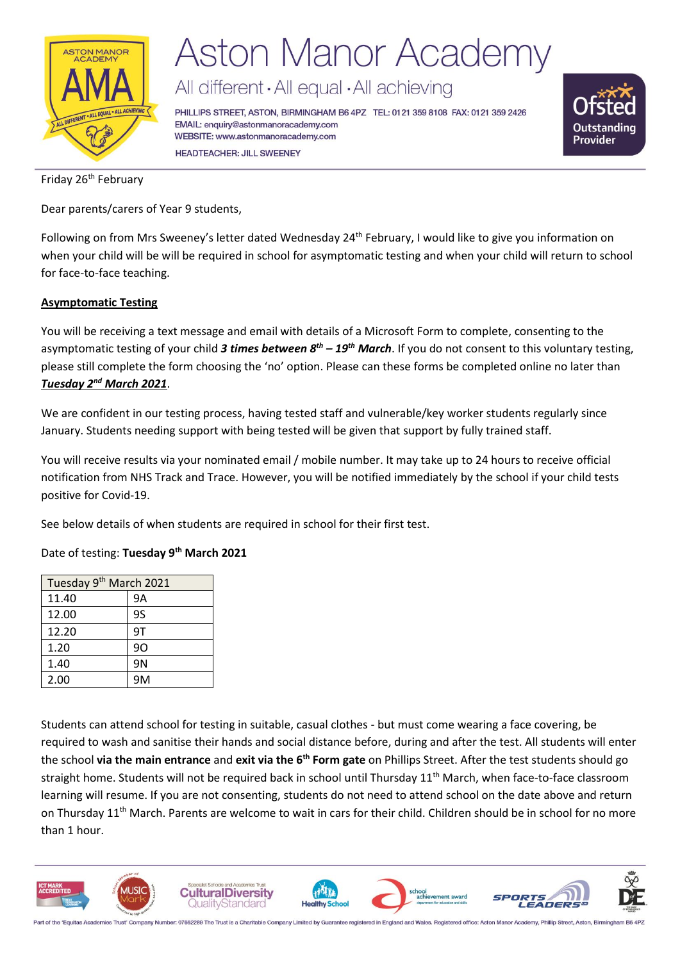

# **Aston Manor Academy**

All different · All equal · All achieving

PHILLIPS STREET, ASTON, BIRMINGHAM B6 4PZ TEL: 0121 359 8108 FAX: 0121 359 2426 EMAIL: enquiry@astonmanoracademy.com WEBSITE: www.astonmanoracademy.com **HEADTEACHER: JILL SWEENEY** 



Friday 26<sup>th</sup> February

Dear parents/carers of Year 9 students,

Following on from Mrs Sweeney's letter dated Wednesday 24<sup>th</sup> February, I would like to give you information on when your child will be will be required in school for asymptomatic testing and when your child will return to school for face-to-face teaching.

### **Asymptomatic Testing**

You will be receiving a text message and email with details of a Microsoft Form to complete, consenting to the asymptomatic testing of your child *3 times between 8th – 19th March*. If you do not consent to this voluntary testing, please still complete the form choosing the 'no' option. Please can these forms be completed online no later than *Tuesday 2nd March 2021*.

We are confident in our testing process, having tested staff and vulnerable/key worker students regularly since January. Students needing support with being tested will be given that support by fully trained staff.

You will receive results via your nominated email / mobile number. It may take up to 24 hours to receive official notification from NHS Track and Trace. However, you will be notified immediately by the school if your child tests positive for Covid-19.

See below details of when students are required in school for their first test.

Date of testing: **Tuesday 9 th March 2021**

| Tuesday 9 <sup>th</sup> March 2021 |                |  |
|------------------------------------|----------------|--|
| 11.40                              | 9Α             |  |
| 12.00                              | 95             |  |
| 12.20                              | 9T             |  |
| 1.20                               | 90             |  |
| 1.40                               | 9 <sub>N</sub> |  |
| 2.00                               | 9M             |  |

Students can attend school for testing in suitable, casual clothes - but must come wearing a face covering, be required to wash and sanitise their hands and social distance before, during and after the test. All students will enter the school **via the main entrance** and **exit via the 6th Form gate** on Phillips Street. After the test students should go straight home. Students will not be required back in school until Thursday 11<sup>th</sup> March, when face-to-face classroom learning will resume. If you are not consenting, students do not need to attend school on the date above and return on Thursday  $11<sup>th</sup>$  March. Parents are welcome to wait in cars for their child. Children should be in school for no more than 1 hour.